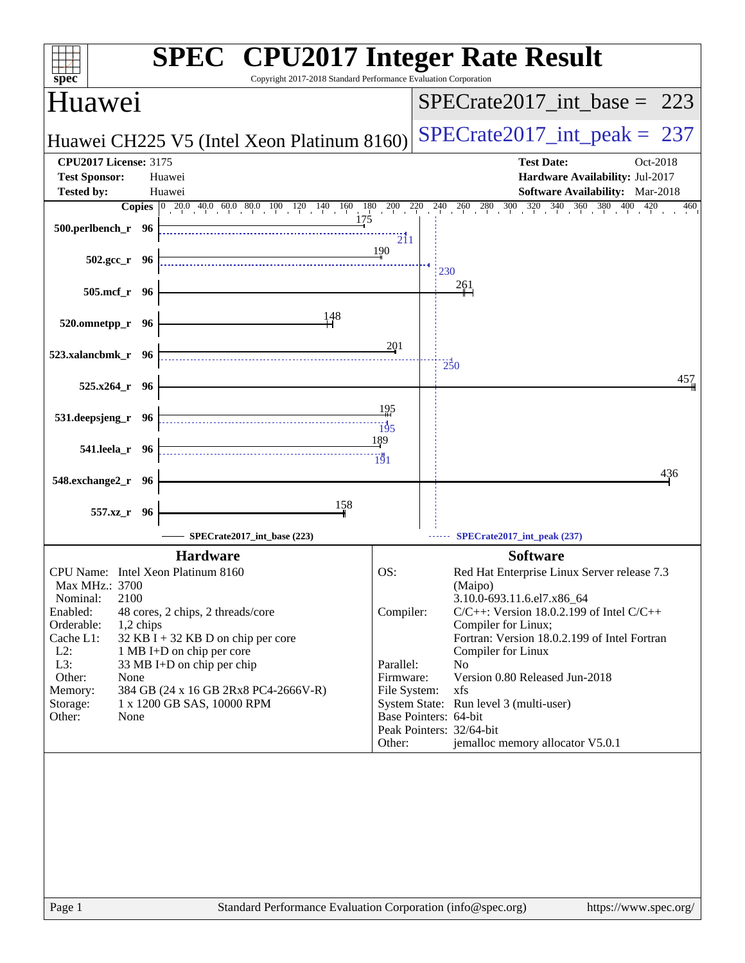| spec                                                                                                                                                            |                                                                                                                                                       | <b>SPEC<sup>®</sup></b> CPU2017 Integer Rate Result<br>Copyright 2017-2018 Standard Performance Evaluation Corporation                                                                                                                                                                                                                                  |
|-----------------------------------------------------------------------------------------------------------------------------------------------------------------|-------------------------------------------------------------------------------------------------------------------------------------------------------|---------------------------------------------------------------------------------------------------------------------------------------------------------------------------------------------------------------------------------------------------------------------------------------------------------------------------------------------------------|
| Huawei                                                                                                                                                          |                                                                                                                                                       | $SPECrate2017\_int\_base = 223$                                                                                                                                                                                                                                                                                                                         |
|                                                                                                                                                                 | Huawei CH225 V5 (Intel Xeon Platinum 8160)                                                                                                            | $SPECrate2017\_int\_peak = 237$                                                                                                                                                                                                                                                                                                                         |
| <b>CPU2017 License: 3175</b><br><b>Test Sponsor:</b>                                                                                                            | Huawei                                                                                                                                                | <b>Test Date:</b><br>Oct-2018<br>Hardware Availability: Jul-2017                                                                                                                                                                                                                                                                                        |
| <b>Tested by:</b>                                                                                                                                               | Huawei                                                                                                                                                | <b>Software Availability:</b> Mar-2018                                                                                                                                                                                                                                                                                                                  |
| 500.perlbench_r 96                                                                                                                                              | 175                                                                                                                                                   | <b>Copies</b> 0 20.0 40.0 60.0 80.0 100 120 140 160 180 200 220 240 260 280 300 320 340 360 380 400<br>420<br>460<br>$\overline{211}$                                                                                                                                                                                                                   |
| $502.\text{gcc}_r$ 96                                                                                                                                           |                                                                                                                                                       | 190<br>230                                                                                                                                                                                                                                                                                                                                              |
| 505.mcf_r 96                                                                                                                                                    |                                                                                                                                                       | $\frac{261}{1}$                                                                                                                                                                                                                                                                                                                                         |
| 520.omnetpp_r 96                                                                                                                                                | 148                                                                                                                                                   |                                                                                                                                                                                                                                                                                                                                                         |
| 523.xalancbmk_r 96                                                                                                                                              |                                                                                                                                                       | 201<br>$\frac{1}{250}$<br>457                                                                                                                                                                                                                                                                                                                           |
| 525.x264_r 96                                                                                                                                                   |                                                                                                                                                       |                                                                                                                                                                                                                                                                                                                                                         |
| 531.deepsjeng_r 96                                                                                                                                              |                                                                                                                                                       | 195<br>$\frac{13}{5}$                                                                                                                                                                                                                                                                                                                                   |
| 541.leela_r 96                                                                                                                                                  |                                                                                                                                                       | 189<br>$\frac{1}{191}$<br>436                                                                                                                                                                                                                                                                                                                           |
| 548.exchange2_r 96                                                                                                                                              |                                                                                                                                                       |                                                                                                                                                                                                                                                                                                                                                         |
| 557.xz_r 96                                                                                                                                                     | 158                                                                                                                                                   |                                                                                                                                                                                                                                                                                                                                                         |
|                                                                                                                                                                 | SPECrate2017_int_base (223)                                                                                                                           | SPECrate2017_int_peak (237)                                                                                                                                                                                                                                                                                                                             |
| CPU Name: Intel Xeon Platinum 8160<br>Max MHz.: 3700<br>2100<br>Nominal:<br>Enabled:<br>Orderable:<br>1,2 chips<br>Cache L1:<br>$L2$ :<br>L3:<br>Other:<br>None | <b>Hardware</b><br>48 cores, 2 chips, 2 threads/core<br>32 KB I + 32 KB D on chip per core<br>1 MB I+D on chip per core<br>33 MB I+D on chip per chip | <b>Software</b><br>OS:<br>Red Hat Enterprise Linux Server release 7.3<br>(Maipo)<br>3.10.0-693.11.6.el7.x86_64<br>Compiler:<br>$C/C++$ : Version 18.0.2.199 of Intel $C/C++$<br>Compiler for Linux;<br>Fortran: Version 18.0.2.199 of Intel Fortran<br>Compiler for Linux<br>Parallel:<br>N <sub>o</sub><br>Version 0.80 Released Jun-2018<br>Firmware: |
| Memory:<br>Storage:<br>Other:<br>None                                                                                                                           | 384 GB (24 x 16 GB 2Rx8 PC4-2666V-R)<br>1 x 1200 GB SAS, 10000 RPM                                                                                    | File System:<br>xfs<br>System State: Run level 3 (multi-user)<br>Base Pointers: 64-bit<br>Peak Pointers: 32/64-bit<br>jemalloc memory allocator V5.0.1<br>Other:                                                                                                                                                                                        |
|                                                                                                                                                                 |                                                                                                                                                       |                                                                                                                                                                                                                                                                                                                                                         |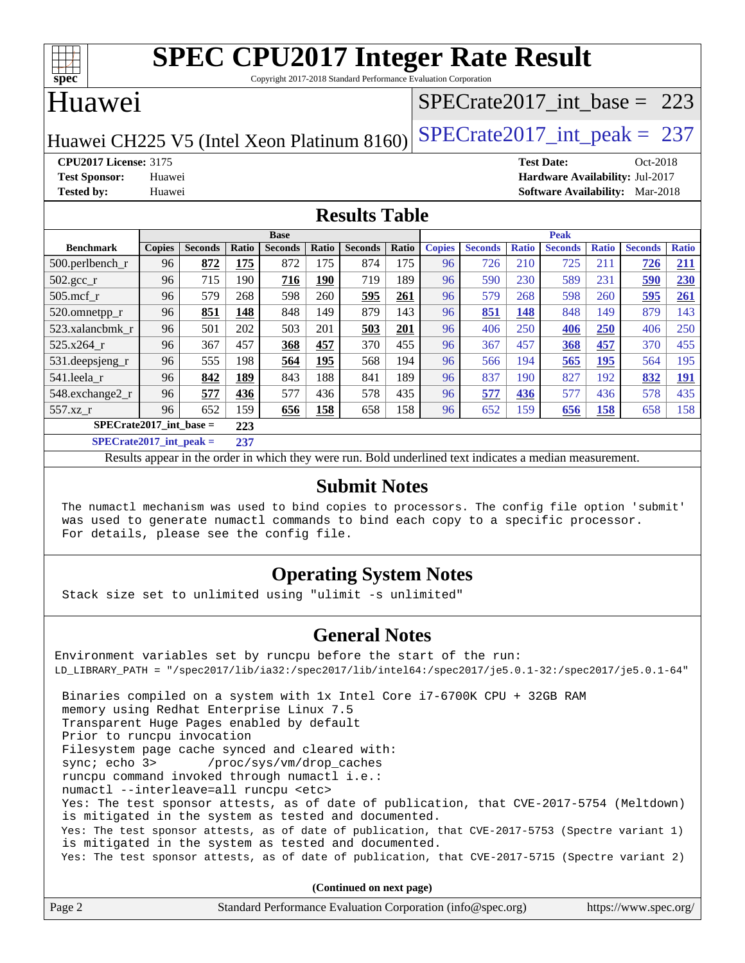| c<br>e<br>L |  |  |  |  |  |  |
|-------------|--|--|--|--|--|--|

Copyright 2017-2018 Standard Performance Evaluation Corporation

# Huawei

## [SPECrate2017\\_int\\_base =](http://www.spec.org/auto/cpu2017/Docs/result-fields.html#SPECrate2017intbase) 223

Huawei CH225 V5 (Intel Xeon Platinum 8160) SPECrate  $2017$  int peak = 237

**[CPU2017 License:](http://www.spec.org/auto/cpu2017/Docs/result-fields.html#CPU2017License)** 3175 **[Test Date:](http://www.spec.org/auto/cpu2017/Docs/result-fields.html#TestDate)** Oct-2018 **[Test Sponsor:](http://www.spec.org/auto/cpu2017/Docs/result-fields.html#TestSponsor)** Huawei **[Hardware Availability:](http://www.spec.org/auto/cpu2017/Docs/result-fields.html#HardwareAvailability)** Jul-2017 **[Tested by:](http://www.spec.org/auto/cpu2017/Docs/result-fields.html#Testedby)** Huawei **[Software Availability:](http://www.spec.org/auto/cpu2017/Docs/result-fields.html#SoftwareAvailability)** Mar-2018

#### **[Results Table](http://www.spec.org/auto/cpu2017/Docs/result-fields.html#ResultsTable)**

|                                  | <b>Base</b>   |                |       |                |             |                | <b>Peak</b> |               |                |              |                |              |                |              |
|----------------------------------|---------------|----------------|-------|----------------|-------------|----------------|-------------|---------------|----------------|--------------|----------------|--------------|----------------|--------------|
| <b>Benchmark</b>                 | <b>Copies</b> | <b>Seconds</b> | Ratio | <b>Seconds</b> | Ratio       | <b>Seconds</b> | Ratio       | <b>Copies</b> | <b>Seconds</b> | <b>Ratio</b> | <b>Seconds</b> | <b>Ratio</b> | <b>Seconds</b> | <b>Ratio</b> |
| $500.$ perlbench_r               | 96            | 872            | 175   | 872            | 175         | 874            | 175         | 96            | 726            | 210          | 725            | 211          | 726            | <u> 211</u>  |
| 502.gcc_r                        | 96            | 715            | 190   | 716            | 190         | 719            | 189         | 96            | 590            | 230          | 589            | 231          | 590            | 230          |
| $505$ .mcf r                     | 96            | 579            | 268   | 598            | 260         | 595            | 261         | 96            | 579            | 268          | 598            | 260          | 595            | 261          |
| 520.omnetpp_r                    | 96            | 851            | 148   | 848            | 149         | 879            | 143         | 96            | 851            | 148          | 848            | 149          | 879            | 143          |
| 523.xalancbmk_r                  | 96            | 501            | 202   | 503            | 201         | 503            | 201         | 96            | 406            | 250          | 406            | 250          | 406            | 250          |
| 525.x264 r                       | 96            | 367            | 457   | 368            | 457         | 370            | 455         | 96            | 367            | 457          | <b>368</b>     | 457          | 370            | 455          |
| 531.deepsjeng_r                  | 96            | 555            | 198   | 564            | <u> 195</u> | 568            | 194         | 96            | 566            | 194          | 565            | <u>195</u>   | 564            | 195          |
| 541.leela r                      | 96            | 842            | 189   | 843            | 188         | 841            | 189         | 96            | 837            | 190          | 827            | 192          | 832            | <u>191</u>   |
| 548.exchange2_r                  | 96            | 577            | 436   | 577            | 436         | 578            | 435         | 96            | 577            | 436          | 577            | 436          | 578            | 435          |
| 557.xz r                         | 96            | 652            | 159   | 656            | 158         | 658            | 158         | 96            | 652            | 159          | 656            | <u>158</u>   | 658            | 158          |
| $SPECrate2017$ int base =<br>223 |               |                |       |                |             |                |             |               |                |              |                |              |                |              |
| $CDFCsoft2017 int model =$       |               |                | 227   |                |             |                |             |               |                |              |                |              |                |              |

**[SPECrate2017\\_int\\_peak =](http://www.spec.org/auto/cpu2017/Docs/result-fields.html#SPECrate2017intpeak) 237**

Results appear in the [order in which they were run](http://www.spec.org/auto/cpu2017/Docs/result-fields.html#RunOrder). Bold underlined text [indicates a median measurement](http://www.spec.org/auto/cpu2017/Docs/result-fields.html#Median).

#### **[Submit Notes](http://www.spec.org/auto/cpu2017/Docs/result-fields.html#SubmitNotes)**

 The numactl mechanism was used to bind copies to processors. The config file option 'submit' was used to generate numactl commands to bind each copy to a specific processor. For details, please see the config file.

## **[Operating System Notes](http://www.spec.org/auto/cpu2017/Docs/result-fields.html#OperatingSystemNotes)**

Stack size set to unlimited using "ulimit -s unlimited"

### **[General Notes](http://www.spec.org/auto/cpu2017/Docs/result-fields.html#GeneralNotes)**

Environment variables set by runcpu before the start of the run: LD\_LIBRARY\_PATH = "/spec2017/lib/ia32:/spec2017/lib/intel64:/spec2017/je5.0.1-32:/spec2017/je5.0.1-64" Binaries compiled on a system with 1x Intel Core i7-6700K CPU + 32GB RAM memory using Redhat Enterprise Linux 7.5 Transparent Huge Pages enabled by default Prior to runcpu invocation Filesystem page cache synced and cleared with: sync; echo 3> /proc/sys/vm/drop\_caches runcpu command invoked through numactl i.e.: numactl --interleave=all runcpu <etc> Yes: The test sponsor attests, as of date of publication, that CVE-2017-5754 (Meltdown) is mitigated in the system as tested and documented. Yes: The test sponsor attests, as of date of publication, that CVE-2017-5753 (Spectre variant 1) is mitigated in the system as tested and documented. Yes: The test sponsor attests, as of date of publication, that CVE-2017-5715 (Spectre variant 2)

**(Continued on next page)**

| Page 2 | Standard Performance Evaluation Corporation (info@spec.org) | https://www.spec.org/ |
|--------|-------------------------------------------------------------|-----------------------|
|--------|-------------------------------------------------------------|-----------------------|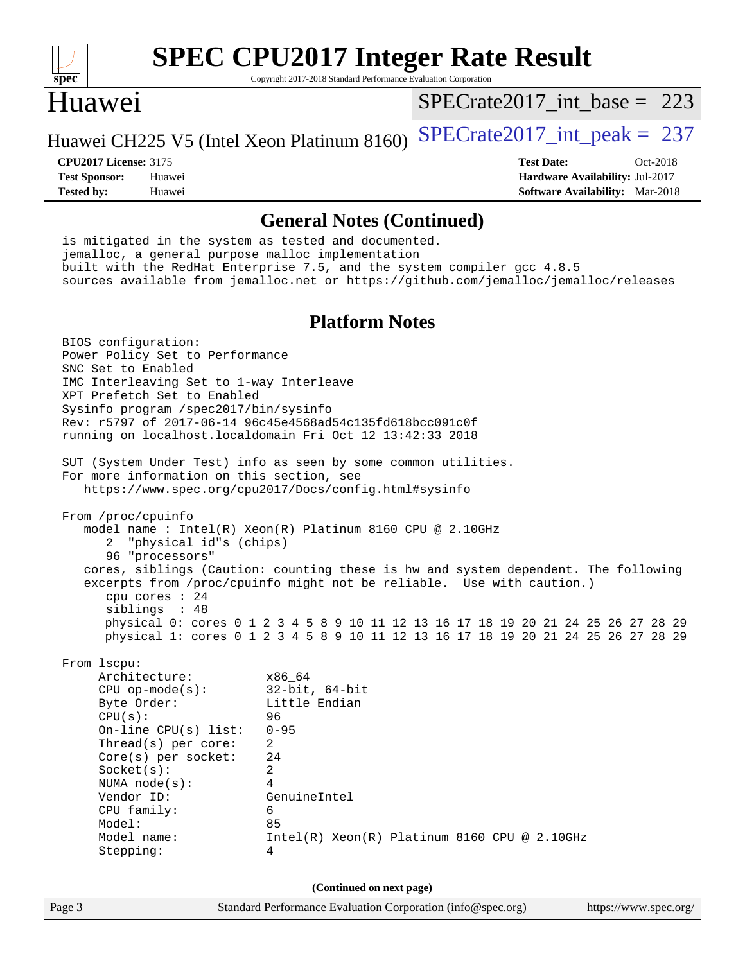| $spec^*$                                                                                                               |                                                                                                                                                                                                  | <b>SPEC CPU2017 Integer Rate Result</b><br>Copyright 2017-2018 Standard Performance Evaluation Corporation                                                                                                                                                                                                                                                                                          |                                 |                                                      |                                        |          |
|------------------------------------------------------------------------------------------------------------------------|--------------------------------------------------------------------------------------------------------------------------------------------------------------------------------------------------|-----------------------------------------------------------------------------------------------------------------------------------------------------------------------------------------------------------------------------------------------------------------------------------------------------------------------------------------------------------------------------------------------------|---------------------------------|------------------------------------------------------|----------------------------------------|----------|
| Huawei                                                                                                                 |                                                                                                                                                                                                  |                                                                                                                                                                                                                                                                                                                                                                                                     | $SPECrate2017$ int base = 223   |                                                      |                                        |          |
|                                                                                                                        |                                                                                                                                                                                                  | Huawei CH225 V5 (Intel Xeon Platinum 8160)                                                                                                                                                                                                                                                                                                                                                          | $SPECTate2017\_int\_peak = 237$ |                                                      |                                        |          |
| <b>CPU2017 License: 3175</b><br><b>Test Sponsor:</b><br><b>Tested by:</b>                                              | Huawei<br>Huawei                                                                                                                                                                                 |                                                                                                                                                                                                                                                                                                                                                                                                     |                                 | <b>Test Date:</b><br>Hardware Availability: Jul-2017 | <b>Software Availability:</b> Mar-2018 | Oct-2018 |
|                                                                                                                        |                                                                                                                                                                                                  | <b>General Notes (Continued)</b>                                                                                                                                                                                                                                                                                                                                                                    |                                 |                                                      |                                        |          |
|                                                                                                                        |                                                                                                                                                                                                  | is mitigated in the system as tested and documented.<br>jemalloc, a general purpose malloc implementation<br>built with the RedHat Enterprise 7.5, and the system compiler gcc 4.8.5<br>sources available from jemalloc.net or https://github.com/jemalloc/jemalloc/releases                                                                                                                        |                                 |                                                      |                                        |          |
|                                                                                                                        |                                                                                                                                                                                                  | <b>Platform Notes</b>                                                                                                                                                                                                                                                                                                                                                                               |                                 |                                                      |                                        |          |
| BIOS configuration:<br>SNC Set to Enabled                                                                              | Power Policy Set to Performance<br>IMC Interleaving Set to 1-way Interleave<br>XPT Prefetch Set to Enabled<br>Sysinfo program /spec2017/bin/sysinfo<br>For more information on this section, see | Rev: r5797 of 2017-06-14 96c45e4568ad54c135fd618bcc091c0f<br>running on localhost.localdomain Fri Oct 12 13:42:33 2018<br>SUT (System Under Test) info as seen by some common utilities.<br>https://www.spec.org/cpu2017/Docs/config.html#sysinfo                                                                                                                                                   |                                 |                                                      |                                        |          |
| From /proc/cpuinfo<br>2                                                                                                | "physical id"s (chips)<br>96 "processors"<br>cpu cores : 24<br>siblings : 48                                                                                                                     | model name: $Intel(R)$ Xeon(R) Platinum 8160 CPU @ 2.10GHz<br>cores, siblings (Caution: counting these is hw and system dependent. The following<br>excerpts from /proc/cpuinfo might not be reliable. Use with caution.)<br>physical 0: cores 0 1 2 3 4 5 8 9 10 11 12 13 16 17 18 19 20 21 24 25 26 27 28 29<br>physical 1: cores 0 1 2 3 4 5 8 9 10 11 12 13 16 17 18 19 20 21 24 25 26 27 28 29 |                                 |                                                      |                                        |          |
| From 1scpu:<br>Byte Order:<br>CPU(s):<br>Socket(s):<br>Vendor ID:<br>CPU family:<br>Model:<br>Model name:<br>Stepping: | Architecture:<br>$CPU$ op-mode( $s$ ):<br>On-line $CPU(s)$ list:<br>Thread(s) per core:<br>$Core(s)$ per socket:<br>NUMA $node(s)$ :                                                             | x86_64<br>$32$ -bit, $64$ -bit<br>Little Endian<br>96<br>$0 - 95$<br>$\overline{2}$<br>24<br>$\overline{a}$<br>4<br>GenuineIntel<br>6<br>85<br>$Intel(R) Xeon(R) Platinum 8160 CPU @ 2.10GHz$<br>4                                                                                                                                                                                                  |                                 |                                                      |                                        |          |
|                                                                                                                        |                                                                                                                                                                                                  | (Continued on next page)                                                                                                                                                                                                                                                                                                                                                                            |                                 |                                                      |                                        |          |

Page 3 Standard Performance Evaluation Corporation [\(info@spec.org\)](mailto:info@spec.org) <https://www.spec.org/>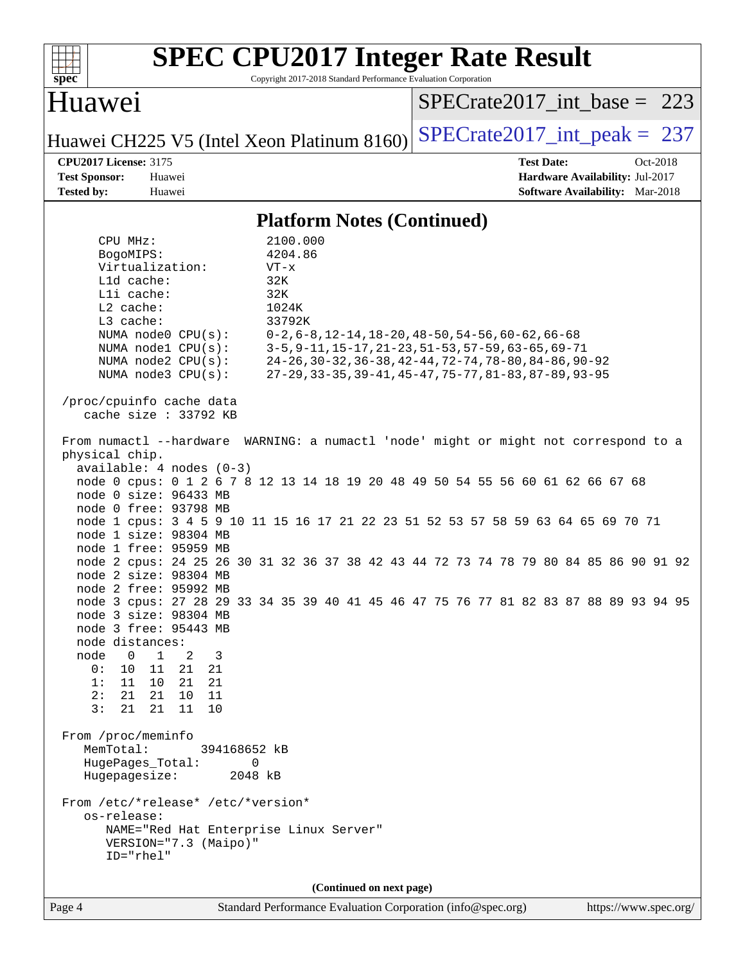| <b>SPEC CPU2017 Integer Rate Result</b><br>Copyright 2017-2018 Standard Performance Evaluation Corporation<br>spec                                                                                                                                                                                                                                                                                                                                                                                                                                                                                                                                                                                                            |  |  |  |  |  |  |  |
|-------------------------------------------------------------------------------------------------------------------------------------------------------------------------------------------------------------------------------------------------------------------------------------------------------------------------------------------------------------------------------------------------------------------------------------------------------------------------------------------------------------------------------------------------------------------------------------------------------------------------------------------------------------------------------------------------------------------------------|--|--|--|--|--|--|--|
| Huawei<br>$SPECrate2017$ int base = 223                                                                                                                                                                                                                                                                                                                                                                                                                                                                                                                                                                                                                                                                                       |  |  |  |  |  |  |  |
| $SPECrate2017\_int\_peak = 237$<br>Huawei CH225 V5 (Intel Xeon Platinum 8160)                                                                                                                                                                                                                                                                                                                                                                                                                                                                                                                                                                                                                                                 |  |  |  |  |  |  |  |
| <b>CPU2017 License: 3175</b><br><b>Test Date:</b><br>Oct-2018<br><b>Test Sponsor:</b><br>Huawei<br>Hardware Availability: Jul-2017<br><b>Software Availability:</b> Mar-2018<br><b>Tested by:</b><br>Huawei                                                                                                                                                                                                                                                                                                                                                                                                                                                                                                                   |  |  |  |  |  |  |  |
| <b>Platform Notes (Continued)</b>                                                                                                                                                                                                                                                                                                                                                                                                                                                                                                                                                                                                                                                                                             |  |  |  |  |  |  |  |
| 2100.000<br>CPU MHz:<br>4204.86<br>BogoMIPS:<br>Virtualization:<br>$VT - x$<br>Lld cache:<br>32K<br>Lli cache:<br>32K<br>L2 cache:<br>1024K<br>L3 cache:<br>33792K<br>NUMA node0 CPU(s):<br>$0-2, 6-8, 12-14, 18-20, 48-50, 54-56, 60-62, 66-68$<br>3-5, 9-11, 15-17, 21-23, 51-53, 57-59, 63-65, 69-71<br>NUMA nodel CPU(s):<br>24-26, 30-32, 36-38, 42-44, 72-74, 78-80, 84-86, 90-92<br>NUMA $node2$ $CPU(s):$<br>27-29, 33-35, 39-41, 45-47, 75-77, 81-83, 87-89, 93-95<br>NUMA node3 CPU(s):<br>/proc/cpuinfo cache data                                                                                                                                                                                                 |  |  |  |  |  |  |  |
| cache size : $33792$ KB<br>From numactl --hardware WARNING: a numactl 'node' might or might not correspond to a<br>physical chip.<br>$available: 4 nodes (0-3)$<br>node 0 cpus: 0 1 2 6 7 8 12 13 14 18 19 20 48 49 50 54 55 56 60 61 62 66 67 68<br>node 0 size: 96433 MB<br>node 0 free: 93798 MB<br>node 1 cpus: 3 4 5 9 10 11 15 16 17 21 22 23 51 52 53 57 58 59 63 64 65 69 70 71<br>node 1 size: 98304 MB<br>node 1 free: 95959 MB<br>node 2 cpus: 24 25 26 30 31 32 36 37 38 42 43 44 72 73 74 78 79 80 84 85 86 90 91 92<br>node 2 size: 98304 MB<br>node 2 free: 95992 MB<br>node 3 cpus: 27 28 29 33 34 35 39 40 41 45 46 47 75 76 77 81 82 83 87 88 89 93 94 95<br>node 3 size: 98304 MB<br>node 3 free: 95443 MB |  |  |  |  |  |  |  |
| node distances:<br>node<br>$\mathbf 0$<br>$\mathbf{1}$<br>3<br>2<br>21<br>0 :<br>10<br>11<br>21<br>1:<br>11<br>10<br>21<br>21<br>10<br>2:<br>21<br>21<br>11<br>3:<br>21<br>21<br>11<br>10                                                                                                                                                                                                                                                                                                                                                                                                                                                                                                                                     |  |  |  |  |  |  |  |
| From /proc/meminfo<br>MemTotal:<br>394168652 kB<br>HugePages_Total:<br>0<br>Hugepagesize:<br>2048 kB<br>From /etc/*release* /etc/*version*<br>os-release:<br>NAME="Red Hat Enterprise Linux Server"<br>VERSION="7.3 (Maipo)"<br>ID="rhel"                                                                                                                                                                                                                                                                                                                                                                                                                                                                                     |  |  |  |  |  |  |  |
| (Continued on next page)<br>Standard Performance Evaluation Corporation (info@spec.org)<br>Page 4<br>https://www.spec.org/                                                                                                                                                                                                                                                                                                                                                                                                                                                                                                                                                                                                    |  |  |  |  |  |  |  |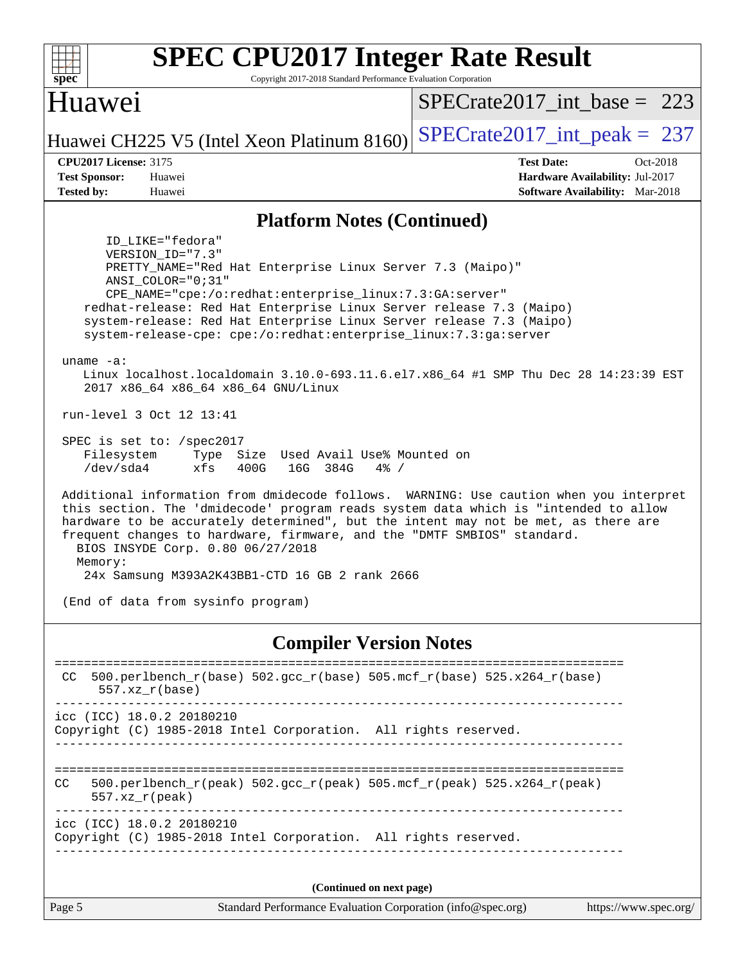| Huawei<br>$SPECrate2017\_int\_base = 223$<br>$SPECrate2017\_int\_peak = 237$<br>Huawei CH225 V5 (Intel Xeon Platinum 8160)<br><b>CPU2017 License: 3175</b><br><b>Test Date:</b><br>$Oct-2018$<br><b>Test Sponsor:</b><br>Hardware Availability: Jul-2017<br>Huawei<br><b>Tested by:</b><br><b>Software Availability:</b> Mar-2018<br>Huawei<br><b>Platform Notes (Continued)</b><br>ID_LIKE="fedora"<br>VERSION_ID="7.3"<br>PRETTY_NAME="Red Hat Enterprise Linux Server 7.3 (Maipo)"<br>ANSI_COLOR="0;31"<br>CPE_NAME="cpe:/o:redhat:enterprise_linux:7.3:GA:server"<br>redhat-release: Red Hat Enterprise Linux Server release 7.3 (Maipo)<br>system-release: Red Hat Enterprise Linux Server release 7.3 (Maipo)<br>system-release-cpe: cpe:/o:redhat:enterprise_linux:7.3:ga:server<br>$uname -a:$<br>Linux localhost.localdomain 3.10.0-693.11.6.el7.x86_64 #1 SMP Thu Dec 28 14:23:39 EST<br>2017 x86_64 x86_64 x86_64 GNU/Linux<br>run-level 3 Oct 12 13:41<br>SPEC is set to: /spec2017<br>Filesystem<br>Type Size Used Avail Use% Mounted on<br>/dev/sda4<br>xfs<br>400G<br>16G 384G<br>$4\%$ /<br>Additional information from dmidecode follows. WARNING: Use caution when you interpret<br>this section. The 'dmidecode' program reads system data which is "intended to allow<br>hardware to be accurately determined", but the intent may not be met, as there are<br>frequent changes to hardware, firmware, and the "DMTF SMBIOS" standard.<br>BIOS INSYDE Corp. 0.80 06/27/2018<br>Memory:<br>24x Samsung M393A2K43BB1-CTD 16 GB 2 rank 2666<br>(End of data from sysinfo program)<br><b>Compiler Version Notes</b><br>500.perlbench_r(base) 502.gcc_r(base) 505.mcf_r(base) 525.x264_r(base)<br>CC.<br>$557.xz_r(base)$<br>icc (ICC) 18.0.2 20180210<br>Copyright (C) 1985-2018 Intel Corporation. All rights reserved.<br>$500.perlbench_r(peak)$ $502.gcc_r(peak)$ $505.mef_r(peak)$ $525. x264_r(peak)$<br>CC.<br>$557. xz_r (peak)$<br>icc (ICC) 18.0.2 20180210<br>Copyright (C) 1985-2018 Intel Corporation. All rights reserved.<br>(Continued on next page)<br>Page 5<br>Standard Performance Evaluation Corporation (info@spec.org)<br>https://www.spec.org/ | spec | <b>SPEC CPU2017 Integer Rate Result</b><br>Copyright 2017-2018 Standard Performance Evaluation Corporation |  |  |  |  |  |  |
|----------------------------------------------------------------------------------------------------------------------------------------------------------------------------------------------------------------------------------------------------------------------------------------------------------------------------------------------------------------------------------------------------------------------------------------------------------------------------------------------------------------------------------------------------------------------------------------------------------------------------------------------------------------------------------------------------------------------------------------------------------------------------------------------------------------------------------------------------------------------------------------------------------------------------------------------------------------------------------------------------------------------------------------------------------------------------------------------------------------------------------------------------------------------------------------------------------------------------------------------------------------------------------------------------------------------------------------------------------------------------------------------------------------------------------------------------------------------------------------------------------------------------------------------------------------------------------------------------------------------------------------------------------------------------------------------------------------------------------------------------------------------------------------------------------------------------------------------------------------------------------------------------------------------------------------------------------------------------------------------------------------------------------------------------------------------------------------------------------------------------------------------------------------------------------------|------|------------------------------------------------------------------------------------------------------------|--|--|--|--|--|--|
|                                                                                                                                                                                                                                                                                                                                                                                                                                                                                                                                                                                                                                                                                                                                                                                                                                                                                                                                                                                                                                                                                                                                                                                                                                                                                                                                                                                                                                                                                                                                                                                                                                                                                                                                                                                                                                                                                                                                                                                                                                                                                                                                                                                        |      |                                                                                                            |  |  |  |  |  |  |
|                                                                                                                                                                                                                                                                                                                                                                                                                                                                                                                                                                                                                                                                                                                                                                                                                                                                                                                                                                                                                                                                                                                                                                                                                                                                                                                                                                                                                                                                                                                                                                                                                                                                                                                                                                                                                                                                                                                                                                                                                                                                                                                                                                                        |      |                                                                                                            |  |  |  |  |  |  |
|                                                                                                                                                                                                                                                                                                                                                                                                                                                                                                                                                                                                                                                                                                                                                                                                                                                                                                                                                                                                                                                                                                                                                                                                                                                                                                                                                                                                                                                                                                                                                                                                                                                                                                                                                                                                                                                                                                                                                                                                                                                                                                                                                                                        |      |                                                                                                            |  |  |  |  |  |  |
|                                                                                                                                                                                                                                                                                                                                                                                                                                                                                                                                                                                                                                                                                                                                                                                                                                                                                                                                                                                                                                                                                                                                                                                                                                                                                                                                                                                                                                                                                                                                                                                                                                                                                                                                                                                                                                                                                                                                                                                                                                                                                                                                                                                        |      |                                                                                                            |  |  |  |  |  |  |
|                                                                                                                                                                                                                                                                                                                                                                                                                                                                                                                                                                                                                                                                                                                                                                                                                                                                                                                                                                                                                                                                                                                                                                                                                                                                                                                                                                                                                                                                                                                                                                                                                                                                                                                                                                                                                                                                                                                                                                                                                                                                                                                                                                                        |      |                                                                                                            |  |  |  |  |  |  |
|                                                                                                                                                                                                                                                                                                                                                                                                                                                                                                                                                                                                                                                                                                                                                                                                                                                                                                                                                                                                                                                                                                                                                                                                                                                                                                                                                                                                                                                                                                                                                                                                                                                                                                                                                                                                                                                                                                                                                                                                                                                                                                                                                                                        |      |                                                                                                            |  |  |  |  |  |  |
|                                                                                                                                                                                                                                                                                                                                                                                                                                                                                                                                                                                                                                                                                                                                                                                                                                                                                                                                                                                                                                                                                                                                                                                                                                                                                                                                                                                                                                                                                                                                                                                                                                                                                                                                                                                                                                                                                                                                                                                                                                                                                                                                                                                        |      |                                                                                                            |  |  |  |  |  |  |
|                                                                                                                                                                                                                                                                                                                                                                                                                                                                                                                                                                                                                                                                                                                                                                                                                                                                                                                                                                                                                                                                                                                                                                                                                                                                                                                                                                                                                                                                                                                                                                                                                                                                                                                                                                                                                                                                                                                                                                                                                                                                                                                                                                                        |      |                                                                                                            |  |  |  |  |  |  |
|                                                                                                                                                                                                                                                                                                                                                                                                                                                                                                                                                                                                                                                                                                                                                                                                                                                                                                                                                                                                                                                                                                                                                                                                                                                                                                                                                                                                                                                                                                                                                                                                                                                                                                                                                                                                                                                                                                                                                                                                                                                                                                                                                                                        |      |                                                                                                            |  |  |  |  |  |  |
|                                                                                                                                                                                                                                                                                                                                                                                                                                                                                                                                                                                                                                                                                                                                                                                                                                                                                                                                                                                                                                                                                                                                                                                                                                                                                                                                                                                                                                                                                                                                                                                                                                                                                                                                                                                                                                                                                                                                                                                                                                                                                                                                                                                        |      |                                                                                                            |  |  |  |  |  |  |
|                                                                                                                                                                                                                                                                                                                                                                                                                                                                                                                                                                                                                                                                                                                                                                                                                                                                                                                                                                                                                                                                                                                                                                                                                                                                                                                                                                                                                                                                                                                                                                                                                                                                                                                                                                                                                                                                                                                                                                                                                                                                                                                                                                                        |      |                                                                                                            |  |  |  |  |  |  |
|                                                                                                                                                                                                                                                                                                                                                                                                                                                                                                                                                                                                                                                                                                                                                                                                                                                                                                                                                                                                                                                                                                                                                                                                                                                                                                                                                                                                                                                                                                                                                                                                                                                                                                                                                                                                                                                                                                                                                                                                                                                                                                                                                                                        |      |                                                                                                            |  |  |  |  |  |  |
|                                                                                                                                                                                                                                                                                                                                                                                                                                                                                                                                                                                                                                                                                                                                                                                                                                                                                                                                                                                                                                                                                                                                                                                                                                                                                                                                                                                                                                                                                                                                                                                                                                                                                                                                                                                                                                                                                                                                                                                                                                                                                                                                                                                        |      |                                                                                                            |  |  |  |  |  |  |
|                                                                                                                                                                                                                                                                                                                                                                                                                                                                                                                                                                                                                                                                                                                                                                                                                                                                                                                                                                                                                                                                                                                                                                                                                                                                                                                                                                                                                                                                                                                                                                                                                                                                                                                                                                                                                                                                                                                                                                                                                                                                                                                                                                                        |      |                                                                                                            |  |  |  |  |  |  |
|                                                                                                                                                                                                                                                                                                                                                                                                                                                                                                                                                                                                                                                                                                                                                                                                                                                                                                                                                                                                                                                                                                                                                                                                                                                                                                                                                                                                                                                                                                                                                                                                                                                                                                                                                                                                                                                                                                                                                                                                                                                                                                                                                                                        |      |                                                                                                            |  |  |  |  |  |  |
|                                                                                                                                                                                                                                                                                                                                                                                                                                                                                                                                                                                                                                                                                                                                                                                                                                                                                                                                                                                                                                                                                                                                                                                                                                                                                                                                                                                                                                                                                                                                                                                                                                                                                                                                                                                                                                                                                                                                                                                                                                                                                                                                                                                        |      |                                                                                                            |  |  |  |  |  |  |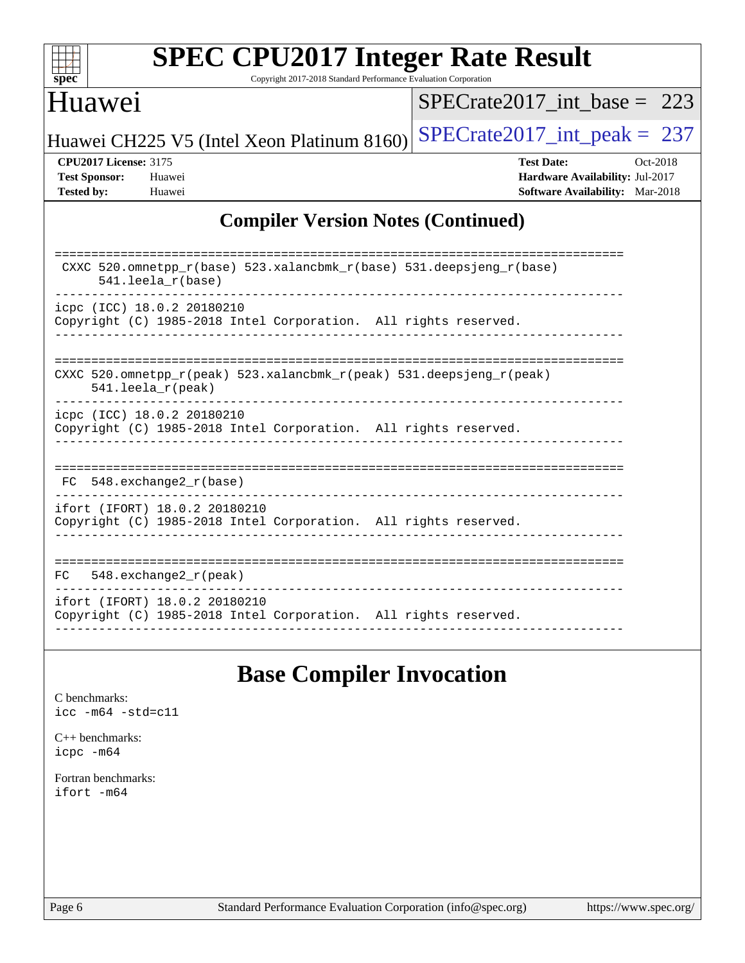| S<br>e<br>IJ<br>U |  |  |  |  |  |  |
|-------------------|--|--|--|--|--|--|

Copyright 2017-2018 Standard Performance Evaluation Corporation

## Huawei

[SPECrate2017\\_int\\_base =](http://www.spec.org/auto/cpu2017/Docs/result-fields.html#SPECrate2017intbase) 223

Huawei CH225 V5 (Intel Xeon Platinum 8160) SPECrate  $2017$  int peak = 237

**[CPU2017 License:](http://www.spec.org/auto/cpu2017/Docs/result-fields.html#CPU2017License)** 3175 **[Test Date:](http://www.spec.org/auto/cpu2017/Docs/result-fields.html#TestDate)** Oct-2018 **[Test Sponsor:](http://www.spec.org/auto/cpu2017/Docs/result-fields.html#TestSponsor)** Huawei **[Hardware Availability:](http://www.spec.org/auto/cpu2017/Docs/result-fields.html#HardwareAvailability)** Jul-2017 **[Tested by:](http://www.spec.org/auto/cpu2017/Docs/result-fields.html#Testedby)** Huawei **[Software Availability:](http://www.spec.org/auto/cpu2017/Docs/result-fields.html#SoftwareAvailability)** Mar-2018

### **[Compiler Version Notes \(Continued\)](http://www.spec.org/auto/cpu2017/Docs/result-fields.html#CompilerVersionNotes)**

| CXXC 520.omnetpp $r(base)$ 523.xalancbmk $r(base)$ 531.deepsjeng $r(base)$<br>$541.$ leela $r(base)$                       |
|----------------------------------------------------------------------------------------------------------------------------|
| icpc (ICC) 18.0.2 20180210                                                                                                 |
| Copyright (C) 1985-2018 Intel Corporation. All rights reserved.                                                            |
|                                                                                                                            |
|                                                                                                                            |
|                                                                                                                            |
| CXXC 520.omnetpp $r(\text{peak})$ 523.xalancbmk $r(\text{peak})$ 531.deepsjeng $r(\text{peak})$<br>$541.$ leela $r$ (peak) |
| icpc (ICC) 18.0.2 20180210                                                                                                 |
| Copyright (C) 1985-2018 Intel Corporation. All rights reserved.                                                            |
|                                                                                                                            |
|                                                                                                                            |
|                                                                                                                            |
| $FC$ 548. exchange 2 $r(base)$                                                                                             |
| ifort (IFORT) 18.0.2 20180210                                                                                              |
| Copyright (C) 1985-2018 Intel Corporation. All rights reserved.                                                            |
|                                                                                                                            |
|                                                                                                                            |
| 548. $exchange2_r(peak)$<br>FC.                                                                                            |
| ifort (IFORT) 18.0.2 20180210                                                                                              |
| Copyright (C) 1985-2018 Intel Corporation. All rights reserved.                                                            |
|                                                                                                                            |

## **[Base Compiler Invocation](http://www.spec.org/auto/cpu2017/Docs/result-fields.html#BaseCompilerInvocation)**

[C benchmarks](http://www.spec.org/auto/cpu2017/Docs/result-fields.html#Cbenchmarks): [icc -m64 -std=c11](http://www.spec.org/cpu2017/results/res2018q4/cpu2017-20181015-09200.flags.html#user_CCbase_intel_icc_64bit_c11_33ee0cdaae7deeeab2a9725423ba97205ce30f63b9926c2519791662299b76a0318f32ddfffdc46587804de3178b4f9328c46fa7c2b0cd779d7a61945c91cd35)

[C++ benchmarks:](http://www.spec.org/auto/cpu2017/Docs/result-fields.html#CXXbenchmarks) [icpc -m64](http://www.spec.org/cpu2017/results/res2018q4/cpu2017-20181015-09200.flags.html#user_CXXbase_intel_icpc_64bit_4ecb2543ae3f1412ef961e0650ca070fec7b7afdcd6ed48761b84423119d1bf6bdf5cad15b44d48e7256388bc77273b966e5eb805aefd121eb22e9299b2ec9d9)

[Fortran benchmarks](http://www.spec.org/auto/cpu2017/Docs/result-fields.html#Fortranbenchmarks): [ifort -m64](http://www.spec.org/cpu2017/results/res2018q4/cpu2017-20181015-09200.flags.html#user_FCbase_intel_ifort_64bit_24f2bb282fbaeffd6157abe4f878425411749daecae9a33200eee2bee2fe76f3b89351d69a8130dd5949958ce389cf37ff59a95e7a40d588e8d3a57e0c3fd751)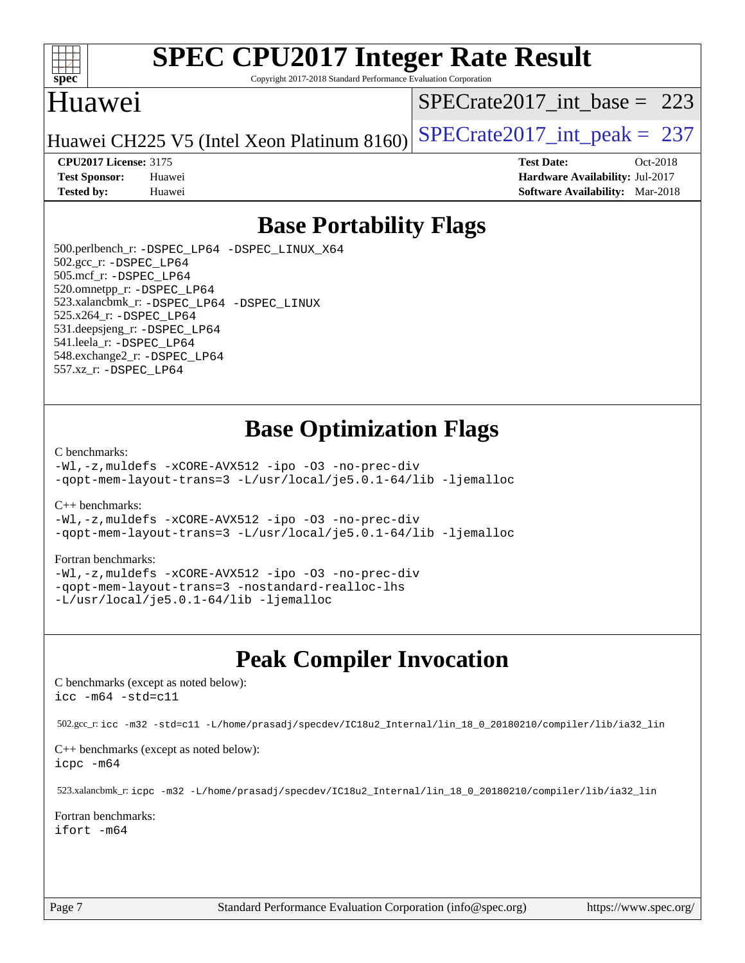

Copyright 2017-2018 Standard Performance Evaluation Corporation

## Huawei

[SPECrate2017\\_int\\_base =](http://www.spec.org/auto/cpu2017/Docs/result-fields.html#SPECrate2017intbase) 223

Huawei CH225 V5 (Intel Xeon Platinum 8160) SPECrate  $2017$  int peak = 237

**[Test Sponsor:](http://www.spec.org/auto/cpu2017/Docs/result-fields.html#TestSponsor)** Huawei **[Hardware Availability:](http://www.spec.org/auto/cpu2017/Docs/result-fields.html#HardwareAvailability)** Jul-2017 **[Tested by:](http://www.spec.org/auto/cpu2017/Docs/result-fields.html#Testedby)** Huawei **[Software Availability:](http://www.spec.org/auto/cpu2017/Docs/result-fields.html#SoftwareAvailability)** Mar-2018

**[CPU2017 License:](http://www.spec.org/auto/cpu2017/Docs/result-fields.html#CPU2017License)** 3175 **[Test Date:](http://www.spec.org/auto/cpu2017/Docs/result-fields.html#TestDate)** Oct-2018

**[Base Portability Flags](http://www.spec.org/auto/cpu2017/Docs/result-fields.html#BasePortabilityFlags)**

 500.perlbench\_r: [-DSPEC\\_LP64](http://www.spec.org/cpu2017/results/res2018q4/cpu2017-20181015-09200.flags.html#b500.perlbench_r_basePORTABILITY_DSPEC_LP64) [-DSPEC\\_LINUX\\_X64](http://www.spec.org/cpu2017/results/res2018q4/cpu2017-20181015-09200.flags.html#b500.perlbench_r_baseCPORTABILITY_DSPEC_LINUX_X64) 502.gcc\_r: [-DSPEC\\_LP64](http://www.spec.org/cpu2017/results/res2018q4/cpu2017-20181015-09200.flags.html#suite_basePORTABILITY502_gcc_r_DSPEC_LP64) 505.mcf\_r: [-DSPEC\\_LP64](http://www.spec.org/cpu2017/results/res2018q4/cpu2017-20181015-09200.flags.html#suite_basePORTABILITY505_mcf_r_DSPEC_LP64) 520.omnetpp\_r: [-DSPEC\\_LP64](http://www.spec.org/cpu2017/results/res2018q4/cpu2017-20181015-09200.flags.html#suite_basePORTABILITY520_omnetpp_r_DSPEC_LP64) 523.xalancbmk\_r: [-DSPEC\\_LP64](http://www.spec.org/cpu2017/results/res2018q4/cpu2017-20181015-09200.flags.html#suite_basePORTABILITY523_xalancbmk_r_DSPEC_LP64) [-DSPEC\\_LINUX](http://www.spec.org/cpu2017/results/res2018q4/cpu2017-20181015-09200.flags.html#b523.xalancbmk_r_baseCXXPORTABILITY_DSPEC_LINUX) 525.x264\_r: [-DSPEC\\_LP64](http://www.spec.org/cpu2017/results/res2018q4/cpu2017-20181015-09200.flags.html#suite_basePORTABILITY525_x264_r_DSPEC_LP64) 531.deepsjeng\_r: [-DSPEC\\_LP64](http://www.spec.org/cpu2017/results/res2018q4/cpu2017-20181015-09200.flags.html#suite_basePORTABILITY531_deepsjeng_r_DSPEC_LP64) 541.leela\_r: [-DSPEC\\_LP64](http://www.spec.org/cpu2017/results/res2018q4/cpu2017-20181015-09200.flags.html#suite_basePORTABILITY541_leela_r_DSPEC_LP64) 548.exchange2\_r: [-DSPEC\\_LP64](http://www.spec.org/cpu2017/results/res2018q4/cpu2017-20181015-09200.flags.html#suite_basePORTABILITY548_exchange2_r_DSPEC_LP64) 557.xz\_r: [-DSPEC\\_LP64](http://www.spec.org/cpu2017/results/res2018q4/cpu2017-20181015-09200.flags.html#suite_basePORTABILITY557_xz_r_DSPEC_LP64)

## **[Base Optimization Flags](http://www.spec.org/auto/cpu2017/Docs/result-fields.html#BaseOptimizationFlags)**

#### [C benchmarks](http://www.spec.org/auto/cpu2017/Docs/result-fields.html#Cbenchmarks):

[-Wl,-z,muldefs](http://www.spec.org/cpu2017/results/res2018q4/cpu2017-20181015-09200.flags.html#user_CCbase_link_force_multiple1_b4cbdb97b34bdee9ceefcfe54f4c8ea74255f0b02a4b23e853cdb0e18eb4525ac79b5a88067c842dd0ee6996c24547a27a4b99331201badda8798ef8a743f577) [-xCORE-AVX512](http://www.spec.org/cpu2017/results/res2018q4/cpu2017-20181015-09200.flags.html#user_CCbase_f-xCORE-AVX512) [-ipo](http://www.spec.org/cpu2017/results/res2018q4/cpu2017-20181015-09200.flags.html#user_CCbase_f-ipo) [-O3](http://www.spec.org/cpu2017/results/res2018q4/cpu2017-20181015-09200.flags.html#user_CCbase_f-O3) [-no-prec-div](http://www.spec.org/cpu2017/results/res2018q4/cpu2017-20181015-09200.flags.html#user_CCbase_f-no-prec-div) [-qopt-mem-layout-trans=3](http://www.spec.org/cpu2017/results/res2018q4/cpu2017-20181015-09200.flags.html#user_CCbase_f-qopt-mem-layout-trans_de80db37974c74b1f0e20d883f0b675c88c3b01e9d123adea9b28688d64333345fb62bc4a798493513fdb68f60282f9a726aa07f478b2f7113531aecce732043) [-L/usr/local/je5.0.1-64/lib](http://www.spec.org/cpu2017/results/res2018q4/cpu2017-20181015-09200.flags.html#user_CCbase_jemalloc_link_path64_4b10a636b7bce113509b17f3bd0d6226c5fb2346b9178c2d0232c14f04ab830f976640479e5c33dc2bcbbdad86ecfb6634cbbd4418746f06f368b512fced5394) [-ljemalloc](http://www.spec.org/cpu2017/results/res2018q4/cpu2017-20181015-09200.flags.html#user_CCbase_jemalloc_link_lib_d1249b907c500fa1c0672f44f562e3d0f79738ae9e3c4a9c376d49f265a04b9c99b167ecedbf6711b3085be911c67ff61f150a17b3472be731631ba4d0471706)

[C++ benchmarks:](http://www.spec.org/auto/cpu2017/Docs/result-fields.html#CXXbenchmarks)

[-Wl,-z,muldefs](http://www.spec.org/cpu2017/results/res2018q4/cpu2017-20181015-09200.flags.html#user_CXXbase_link_force_multiple1_b4cbdb97b34bdee9ceefcfe54f4c8ea74255f0b02a4b23e853cdb0e18eb4525ac79b5a88067c842dd0ee6996c24547a27a4b99331201badda8798ef8a743f577) [-xCORE-AVX512](http://www.spec.org/cpu2017/results/res2018q4/cpu2017-20181015-09200.flags.html#user_CXXbase_f-xCORE-AVX512) [-ipo](http://www.spec.org/cpu2017/results/res2018q4/cpu2017-20181015-09200.flags.html#user_CXXbase_f-ipo) [-O3](http://www.spec.org/cpu2017/results/res2018q4/cpu2017-20181015-09200.flags.html#user_CXXbase_f-O3) [-no-prec-div](http://www.spec.org/cpu2017/results/res2018q4/cpu2017-20181015-09200.flags.html#user_CXXbase_f-no-prec-div) [-qopt-mem-layout-trans=3](http://www.spec.org/cpu2017/results/res2018q4/cpu2017-20181015-09200.flags.html#user_CXXbase_f-qopt-mem-layout-trans_de80db37974c74b1f0e20d883f0b675c88c3b01e9d123adea9b28688d64333345fb62bc4a798493513fdb68f60282f9a726aa07f478b2f7113531aecce732043) [-L/usr/local/je5.0.1-64/lib](http://www.spec.org/cpu2017/results/res2018q4/cpu2017-20181015-09200.flags.html#user_CXXbase_jemalloc_link_path64_4b10a636b7bce113509b17f3bd0d6226c5fb2346b9178c2d0232c14f04ab830f976640479e5c33dc2bcbbdad86ecfb6634cbbd4418746f06f368b512fced5394) [-ljemalloc](http://www.spec.org/cpu2017/results/res2018q4/cpu2017-20181015-09200.flags.html#user_CXXbase_jemalloc_link_lib_d1249b907c500fa1c0672f44f562e3d0f79738ae9e3c4a9c376d49f265a04b9c99b167ecedbf6711b3085be911c67ff61f150a17b3472be731631ba4d0471706)

#### [Fortran benchmarks](http://www.spec.org/auto/cpu2017/Docs/result-fields.html#Fortranbenchmarks):

[-Wl,-z,muldefs](http://www.spec.org/cpu2017/results/res2018q4/cpu2017-20181015-09200.flags.html#user_FCbase_link_force_multiple1_b4cbdb97b34bdee9ceefcfe54f4c8ea74255f0b02a4b23e853cdb0e18eb4525ac79b5a88067c842dd0ee6996c24547a27a4b99331201badda8798ef8a743f577) [-xCORE-AVX512](http://www.spec.org/cpu2017/results/res2018q4/cpu2017-20181015-09200.flags.html#user_FCbase_f-xCORE-AVX512) [-ipo](http://www.spec.org/cpu2017/results/res2018q4/cpu2017-20181015-09200.flags.html#user_FCbase_f-ipo) [-O3](http://www.spec.org/cpu2017/results/res2018q4/cpu2017-20181015-09200.flags.html#user_FCbase_f-O3) [-no-prec-div](http://www.spec.org/cpu2017/results/res2018q4/cpu2017-20181015-09200.flags.html#user_FCbase_f-no-prec-div) [-qopt-mem-layout-trans=3](http://www.spec.org/cpu2017/results/res2018q4/cpu2017-20181015-09200.flags.html#user_FCbase_f-qopt-mem-layout-trans_de80db37974c74b1f0e20d883f0b675c88c3b01e9d123adea9b28688d64333345fb62bc4a798493513fdb68f60282f9a726aa07f478b2f7113531aecce732043) [-nostandard-realloc-lhs](http://www.spec.org/cpu2017/results/res2018q4/cpu2017-20181015-09200.flags.html#user_FCbase_f_2003_std_realloc_82b4557e90729c0f113870c07e44d33d6f5a304b4f63d4c15d2d0f1fab99f5daaed73bdb9275d9ae411527f28b936061aa8b9c8f2d63842963b95c9dd6426b8a) [-L/usr/local/je5.0.1-64/lib](http://www.spec.org/cpu2017/results/res2018q4/cpu2017-20181015-09200.flags.html#user_FCbase_jemalloc_link_path64_4b10a636b7bce113509b17f3bd0d6226c5fb2346b9178c2d0232c14f04ab830f976640479e5c33dc2bcbbdad86ecfb6634cbbd4418746f06f368b512fced5394) [-ljemalloc](http://www.spec.org/cpu2017/results/res2018q4/cpu2017-20181015-09200.flags.html#user_FCbase_jemalloc_link_lib_d1249b907c500fa1c0672f44f562e3d0f79738ae9e3c4a9c376d49f265a04b9c99b167ecedbf6711b3085be911c67ff61f150a17b3472be731631ba4d0471706)

## **[Peak Compiler Invocation](http://www.spec.org/auto/cpu2017/Docs/result-fields.html#PeakCompilerInvocation)**

[C benchmarks \(except as noted below\)](http://www.spec.org/auto/cpu2017/Docs/result-fields.html#Cbenchmarksexceptasnotedbelow): [icc -m64 -std=c11](http://www.spec.org/cpu2017/results/res2018q4/cpu2017-20181015-09200.flags.html#user_CCpeak_intel_icc_64bit_c11_33ee0cdaae7deeeab2a9725423ba97205ce30f63b9926c2519791662299b76a0318f32ddfffdc46587804de3178b4f9328c46fa7c2b0cd779d7a61945c91cd35)

502.gcc\_r: [icc -m32 -std=c11 -L/home/prasadj/specdev/IC18u2\\_Internal/lin\\_18\\_0\\_20180210/compiler/lib/ia32\\_lin](http://www.spec.org/cpu2017/results/res2018q4/cpu2017-20181015-09200.flags.html#user_peakCCLD502_gcc_r_intel_icc_a481ac844e7127046fad14d498c730a1848fa901fbbb2c3dfdd5e9fbbac777c8009953946d55d8b6afe8ed0da70dd2b4f8dedbdf7ab1ee211ba70d24a5d89f85)

[C++ benchmarks \(except as noted below\):](http://www.spec.org/auto/cpu2017/Docs/result-fields.html#CXXbenchmarksexceptasnotedbelow) [icpc -m64](http://www.spec.org/cpu2017/results/res2018q4/cpu2017-20181015-09200.flags.html#user_CXXpeak_intel_icpc_64bit_4ecb2543ae3f1412ef961e0650ca070fec7b7afdcd6ed48761b84423119d1bf6bdf5cad15b44d48e7256388bc77273b966e5eb805aefd121eb22e9299b2ec9d9)

523.xalancbmk\_r: [icpc -m32 -L/home/prasadj/specdev/IC18u2\\_Internal/lin\\_18\\_0\\_20180210/compiler/lib/ia32\\_lin](http://www.spec.org/cpu2017/results/res2018q4/cpu2017-20181015-09200.flags.html#user_peakCXXLD523_xalancbmk_r_intel_icpc_c6d030cd79af6ea7d6fb64c57e8fe7ae8fe0b96fc5a3b3f4a10e3273b3d7fa9decd8263f6330cef23f751cb093a69fae84a2bf4c243500a8eed069248128076f)

[Fortran benchmarks](http://www.spec.org/auto/cpu2017/Docs/result-fields.html#Fortranbenchmarks): [ifort -m64](http://www.spec.org/cpu2017/results/res2018q4/cpu2017-20181015-09200.flags.html#user_FCpeak_intel_ifort_64bit_24f2bb282fbaeffd6157abe4f878425411749daecae9a33200eee2bee2fe76f3b89351d69a8130dd5949958ce389cf37ff59a95e7a40d588e8d3a57e0c3fd751)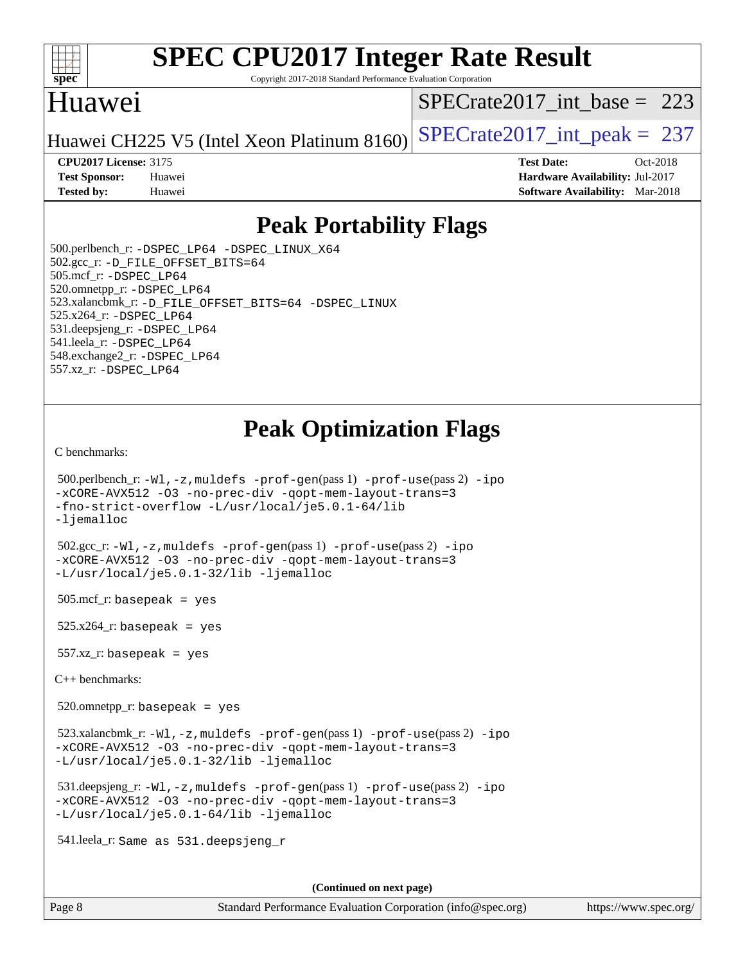

Copyright 2017-2018 Standard Performance Evaluation Corporation

## Huawei

[SPECrate2017\\_int\\_base =](http://www.spec.org/auto/cpu2017/Docs/result-fields.html#SPECrate2017intbase) 223

Huawei CH225 V5 (Intel Xeon Platinum  $8160$ ) [SPECrate2017\\_int\\_peak =](http://www.spec.org/auto/cpu2017/Docs/result-fields.html#SPECrate2017intpeak) 237

**[CPU2017 License:](http://www.spec.org/auto/cpu2017/Docs/result-fields.html#CPU2017License)** 3175 **[Test Date:](http://www.spec.org/auto/cpu2017/Docs/result-fields.html#TestDate)** Oct-2018 **[Test Sponsor:](http://www.spec.org/auto/cpu2017/Docs/result-fields.html#TestSponsor)** Huawei **[Hardware Availability:](http://www.spec.org/auto/cpu2017/Docs/result-fields.html#HardwareAvailability)** Jul-2017 **[Tested by:](http://www.spec.org/auto/cpu2017/Docs/result-fields.html#Testedby)** Huawei **[Software Availability:](http://www.spec.org/auto/cpu2017/Docs/result-fields.html#SoftwareAvailability)** Mar-2018

## **[Peak Portability Flags](http://www.spec.org/auto/cpu2017/Docs/result-fields.html#PeakPortabilityFlags)**

 500.perlbench\_r: [-DSPEC\\_LP64](http://www.spec.org/cpu2017/results/res2018q4/cpu2017-20181015-09200.flags.html#b500.perlbench_r_peakPORTABILITY_DSPEC_LP64) [-DSPEC\\_LINUX\\_X64](http://www.spec.org/cpu2017/results/res2018q4/cpu2017-20181015-09200.flags.html#b500.perlbench_r_peakCPORTABILITY_DSPEC_LINUX_X64) 502.gcc\_r: [-D\\_FILE\\_OFFSET\\_BITS=64](http://www.spec.org/cpu2017/results/res2018q4/cpu2017-20181015-09200.flags.html#user_peakPORTABILITY502_gcc_r_file_offset_bits_64_5ae949a99b284ddf4e95728d47cb0843d81b2eb0e18bdfe74bbf0f61d0b064f4bda2f10ea5eb90e1dcab0e84dbc592acfc5018bc955c18609f94ddb8d550002c) 505.mcf\_r: [-DSPEC\\_LP64](http://www.spec.org/cpu2017/results/res2018q4/cpu2017-20181015-09200.flags.html#suite_peakPORTABILITY505_mcf_r_DSPEC_LP64) 520.omnetpp\_r: [-DSPEC\\_LP64](http://www.spec.org/cpu2017/results/res2018q4/cpu2017-20181015-09200.flags.html#suite_peakPORTABILITY520_omnetpp_r_DSPEC_LP64) 523.xalancbmk\_r: [-D\\_FILE\\_OFFSET\\_BITS=64](http://www.spec.org/cpu2017/results/res2018q4/cpu2017-20181015-09200.flags.html#user_peakPORTABILITY523_xalancbmk_r_file_offset_bits_64_5ae949a99b284ddf4e95728d47cb0843d81b2eb0e18bdfe74bbf0f61d0b064f4bda2f10ea5eb90e1dcab0e84dbc592acfc5018bc955c18609f94ddb8d550002c) [-DSPEC\\_LINUX](http://www.spec.org/cpu2017/results/res2018q4/cpu2017-20181015-09200.flags.html#b523.xalancbmk_r_peakCXXPORTABILITY_DSPEC_LINUX) 525.x264\_r: [-DSPEC\\_LP64](http://www.spec.org/cpu2017/results/res2018q4/cpu2017-20181015-09200.flags.html#suite_peakPORTABILITY525_x264_r_DSPEC_LP64) 531.deepsjeng\_r: [-DSPEC\\_LP64](http://www.spec.org/cpu2017/results/res2018q4/cpu2017-20181015-09200.flags.html#suite_peakPORTABILITY531_deepsjeng_r_DSPEC_LP64) 541.leela\_r: [-DSPEC\\_LP64](http://www.spec.org/cpu2017/results/res2018q4/cpu2017-20181015-09200.flags.html#suite_peakPORTABILITY541_leela_r_DSPEC_LP64) 548.exchange2\_r: [-DSPEC\\_LP64](http://www.spec.org/cpu2017/results/res2018q4/cpu2017-20181015-09200.flags.html#suite_peakPORTABILITY548_exchange2_r_DSPEC_LP64) 557.xz\_r: [-DSPEC\\_LP64](http://www.spec.org/cpu2017/results/res2018q4/cpu2017-20181015-09200.flags.html#suite_peakPORTABILITY557_xz_r_DSPEC_LP64)

# **[Peak Optimization Flags](http://www.spec.org/auto/cpu2017/Docs/result-fields.html#PeakOptimizationFlags)**

[C benchmarks](http://www.spec.org/auto/cpu2017/Docs/result-fields.html#Cbenchmarks):

```
 500.perlbench_r: -Wl,-z,muldefs -prof-gen(pass 1) -prof-use(pass 2) -ipo
-xCORE-AVX512 -O3 -no-prec-div -qopt-mem-layout-trans=3
-fno-strict-overflow -L/usr/local/je5.0.1-64/lib
-ljemalloc
 502.gcc_r: -Wl,-z,muldefs -prof-gen(pass 1) -prof-use(pass 2) -ipo
-xCORE-AVX512 -O3 -no-prec-div -qopt-mem-layout-trans=3
-L/usr/local/je5.0.1-32/lib -ljemalloc
505.\text{mcf}_r: basepeak = yes
525.x264_r: basepeak = yes
557.xz r: basepeak = yes
C++ benchmarks: 
 520.omnetpp_r: basepeak = yes
```
 523.xalancbmk\_r: [-Wl,-z,muldefs](http://www.spec.org/cpu2017/results/res2018q4/cpu2017-20181015-09200.flags.html#user_peakEXTRA_LDFLAGS523_xalancbmk_r_link_force_multiple1_b4cbdb97b34bdee9ceefcfe54f4c8ea74255f0b02a4b23e853cdb0e18eb4525ac79b5a88067c842dd0ee6996c24547a27a4b99331201badda8798ef8a743f577) [-prof-gen](http://www.spec.org/cpu2017/results/res2018q4/cpu2017-20181015-09200.flags.html#user_peakPASS1_CXXFLAGSPASS1_LDFLAGS523_xalancbmk_r_prof_gen_5aa4926d6013ddb2a31985c654b3eb18169fc0c6952a63635c234f711e6e63dd76e94ad52365559451ec499a2cdb89e4dc58ba4c67ef54ca681ffbe1461d6b36)(pass 1) [-prof-use](http://www.spec.org/cpu2017/results/res2018q4/cpu2017-20181015-09200.flags.html#user_peakPASS2_CXXFLAGSPASS2_LDFLAGS523_xalancbmk_r_prof_use_1a21ceae95f36a2b53c25747139a6c16ca95bd9def2a207b4f0849963b97e94f5260e30a0c64f4bb623698870e679ca08317ef8150905d41bd88c6f78df73f19)(pass 2) [-ipo](http://www.spec.org/cpu2017/results/res2018q4/cpu2017-20181015-09200.flags.html#user_peakPASS1_CXXOPTIMIZEPASS2_CXXOPTIMIZE523_xalancbmk_r_f-ipo) [-xCORE-AVX512](http://www.spec.org/cpu2017/results/res2018q4/cpu2017-20181015-09200.flags.html#user_peakPASS2_CXXOPTIMIZE523_xalancbmk_r_f-xCORE-AVX512) [-O3](http://www.spec.org/cpu2017/results/res2018q4/cpu2017-20181015-09200.flags.html#user_peakPASS1_CXXOPTIMIZEPASS2_CXXOPTIMIZE523_xalancbmk_r_f-O3) [-no-prec-div](http://www.spec.org/cpu2017/results/res2018q4/cpu2017-20181015-09200.flags.html#user_peakPASS1_CXXOPTIMIZEPASS2_CXXOPTIMIZE523_xalancbmk_r_f-no-prec-div) [-qopt-mem-layout-trans=3](http://www.spec.org/cpu2017/results/res2018q4/cpu2017-20181015-09200.flags.html#user_peakPASS1_CXXOPTIMIZEPASS2_CXXOPTIMIZE523_xalancbmk_r_f-qopt-mem-layout-trans_de80db37974c74b1f0e20d883f0b675c88c3b01e9d123adea9b28688d64333345fb62bc4a798493513fdb68f60282f9a726aa07f478b2f7113531aecce732043) [-L/usr/local/je5.0.1-32/lib](http://www.spec.org/cpu2017/results/res2018q4/cpu2017-20181015-09200.flags.html#user_peakEXTRA_LIBS523_xalancbmk_r_jemalloc_link_path32_e29f22e8e6c17053bbc6a0971f5a9c01a601a06bb1a59df2084b77a2fe0a2995b64fd4256feaeea39eeba3aae142e96e2b2b0a28974019c0c0c88139a84f900a) [-ljemalloc](http://www.spec.org/cpu2017/results/res2018q4/cpu2017-20181015-09200.flags.html#user_peakEXTRA_LIBS523_xalancbmk_r_jemalloc_link_lib_d1249b907c500fa1c0672f44f562e3d0f79738ae9e3c4a9c376d49f265a04b9c99b167ecedbf6711b3085be911c67ff61f150a17b3472be731631ba4d0471706)

 531.deepsjeng\_r: [-Wl,-z,muldefs](http://www.spec.org/cpu2017/results/res2018q4/cpu2017-20181015-09200.flags.html#user_peakEXTRA_LDFLAGS531_deepsjeng_r_link_force_multiple1_b4cbdb97b34bdee9ceefcfe54f4c8ea74255f0b02a4b23e853cdb0e18eb4525ac79b5a88067c842dd0ee6996c24547a27a4b99331201badda8798ef8a743f577) [-prof-gen](http://www.spec.org/cpu2017/results/res2018q4/cpu2017-20181015-09200.flags.html#user_peakPASS1_CXXFLAGSPASS1_LDFLAGS531_deepsjeng_r_prof_gen_5aa4926d6013ddb2a31985c654b3eb18169fc0c6952a63635c234f711e6e63dd76e94ad52365559451ec499a2cdb89e4dc58ba4c67ef54ca681ffbe1461d6b36)(pass 1) [-prof-use](http://www.spec.org/cpu2017/results/res2018q4/cpu2017-20181015-09200.flags.html#user_peakPASS2_CXXFLAGSPASS2_LDFLAGS531_deepsjeng_r_prof_use_1a21ceae95f36a2b53c25747139a6c16ca95bd9def2a207b4f0849963b97e94f5260e30a0c64f4bb623698870e679ca08317ef8150905d41bd88c6f78df73f19)(pass 2) [-ipo](http://www.spec.org/cpu2017/results/res2018q4/cpu2017-20181015-09200.flags.html#user_peakPASS1_CXXOPTIMIZEPASS2_CXXOPTIMIZE531_deepsjeng_r_f-ipo) [-xCORE-AVX512](http://www.spec.org/cpu2017/results/res2018q4/cpu2017-20181015-09200.flags.html#user_peakPASS2_CXXOPTIMIZE531_deepsjeng_r_f-xCORE-AVX512) [-O3](http://www.spec.org/cpu2017/results/res2018q4/cpu2017-20181015-09200.flags.html#user_peakPASS1_CXXOPTIMIZEPASS2_CXXOPTIMIZE531_deepsjeng_r_f-O3) [-no-prec-div](http://www.spec.org/cpu2017/results/res2018q4/cpu2017-20181015-09200.flags.html#user_peakPASS1_CXXOPTIMIZEPASS2_CXXOPTIMIZE531_deepsjeng_r_f-no-prec-div) [-qopt-mem-layout-trans=3](http://www.spec.org/cpu2017/results/res2018q4/cpu2017-20181015-09200.flags.html#user_peakPASS1_CXXOPTIMIZEPASS2_CXXOPTIMIZE531_deepsjeng_r_f-qopt-mem-layout-trans_de80db37974c74b1f0e20d883f0b675c88c3b01e9d123adea9b28688d64333345fb62bc4a798493513fdb68f60282f9a726aa07f478b2f7113531aecce732043) [-L/usr/local/je5.0.1-64/lib](http://www.spec.org/cpu2017/results/res2018q4/cpu2017-20181015-09200.flags.html#user_peakEXTRA_LIBS531_deepsjeng_r_jemalloc_link_path64_4b10a636b7bce113509b17f3bd0d6226c5fb2346b9178c2d0232c14f04ab830f976640479e5c33dc2bcbbdad86ecfb6634cbbd4418746f06f368b512fced5394) [-ljemalloc](http://www.spec.org/cpu2017/results/res2018q4/cpu2017-20181015-09200.flags.html#user_peakEXTRA_LIBS531_deepsjeng_r_jemalloc_link_lib_d1249b907c500fa1c0672f44f562e3d0f79738ae9e3c4a9c376d49f265a04b9c99b167ecedbf6711b3085be911c67ff61f150a17b3472be731631ba4d0471706)

541.leela\_r: Same as 531.deepsjeng\_r

**(Continued on next page)**